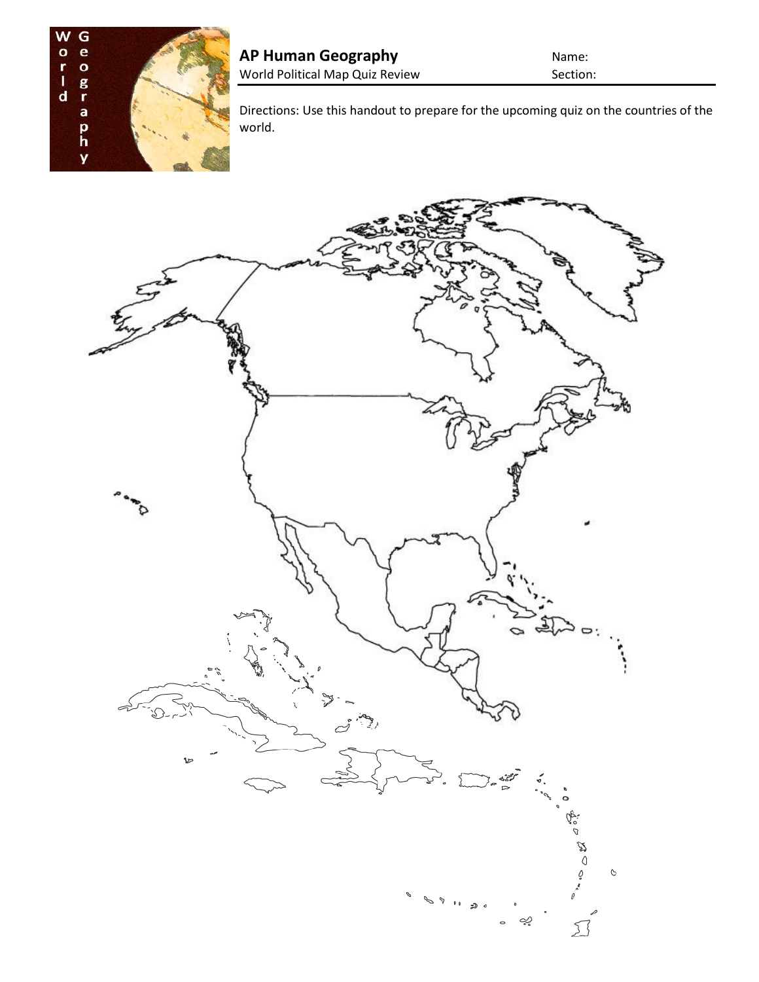

Directions: Use this handout to prepare for the upcoming quiz on the countries of the world.

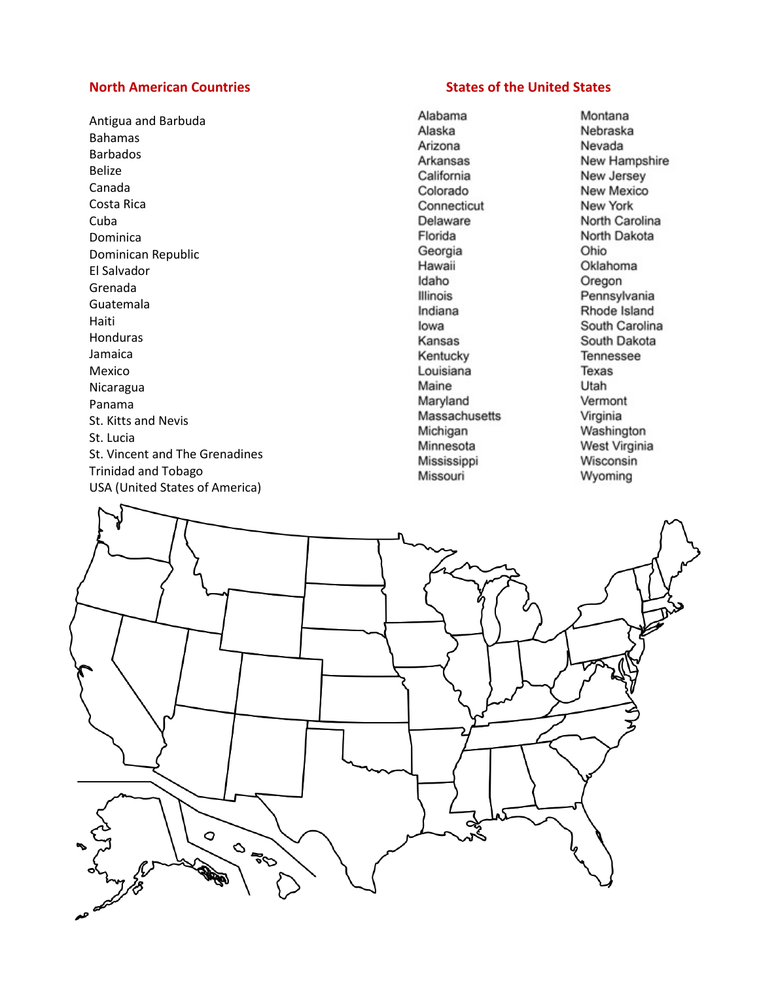Antigua and Barbuda Bahamas Barbados Belize Canada Costa Rica Cuba Dominica Dominican Republic El Salvador Grenada Guatemala Haiti **Honduras** Jamaica Mexico Nicaragua Panama St. Kitts and Nevis St. Lucia St. Vincent and The Grenadines Trinidad and Tobago USA (United States of America)

#### **North American Countries States of the United States** States of the United States

Alabama Alaska Arizona Arkansas California Colorado Connecticut Delaware Florida Georgia Hawaii Idaho Illinois Indiana lowa Kansas Kentucky Louisiana Maine Maryland Massachusetts Michigan Minnesota Mississippi Missouri

Montana Nebraska Nevada New Hampshire New Jersey New Mexico New York North Carolina North Dakota Ohio Oklahoma Oregon Pennsylvania Rhode Island South Carolina South Dakota Tennessee Texas Utah Vermont Virginia Washington West Virginia Wisconsin Wyoming

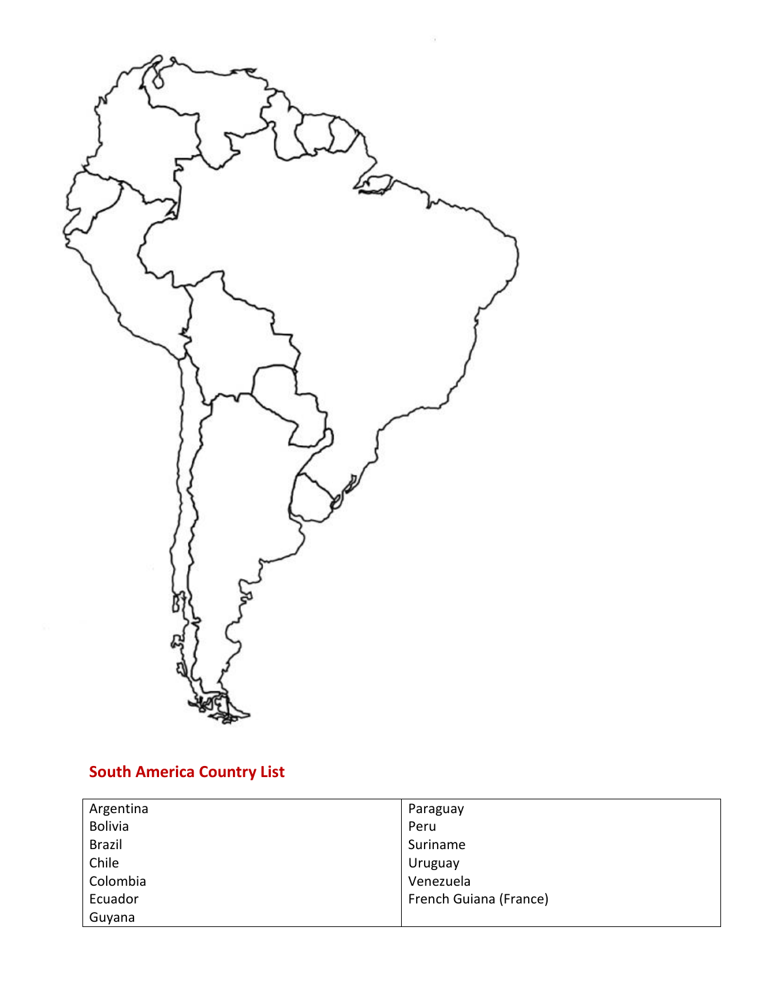

# **South America Country List**

| Argentina      | Paraguay               |
|----------------|------------------------|
| <b>Bolivia</b> | Peru                   |
| <b>Brazil</b>  | Suriname               |
| Chile          | Uruguay                |
| Colombia       | Venezuela              |
| Ecuador        | French Guiana (France) |
| Guyana         |                        |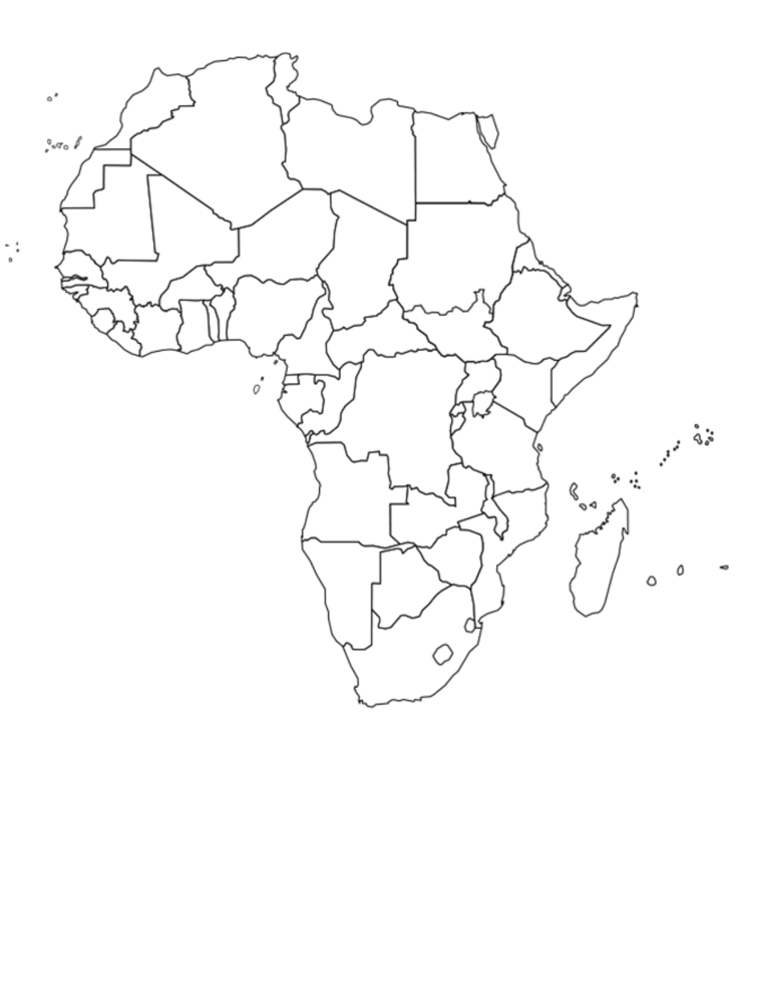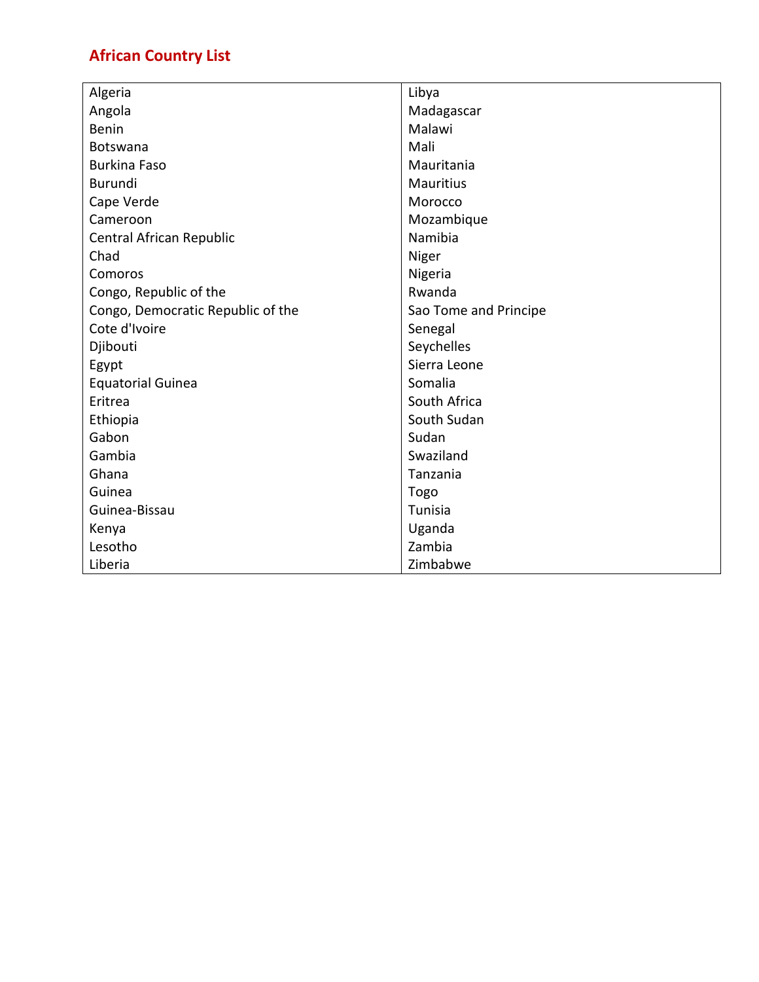# **African Country List**

| Algeria                           | Libya                 |
|-----------------------------------|-----------------------|
| Angola                            | Madagascar            |
| <b>Benin</b>                      | Malawi                |
| Botswana                          | Mali                  |
| <b>Burkina Faso</b>               | Mauritania            |
| <b>Burundi</b>                    | <b>Mauritius</b>      |
| Cape Verde                        | Morocco               |
| Cameroon                          | Mozambique            |
| Central African Republic          | Namibia               |
| Chad                              | Niger                 |
| Comoros                           | Nigeria               |
| Congo, Republic of the            | Rwanda                |
| Congo, Democratic Republic of the | Sao Tome and Principe |
| Cote d'Ivoire                     | Senegal               |
| Djibouti                          | Seychelles            |
| Egypt                             | Sierra Leone          |
| <b>Equatorial Guinea</b>          | Somalia               |
| Eritrea                           | South Africa          |
| Ethiopia                          | South Sudan           |
| Gabon                             | Sudan                 |
| Gambia                            | Swaziland             |
| Ghana                             | Tanzania              |
| Guinea                            | Togo                  |
| Guinea-Bissau                     | Tunisia               |
| Kenya                             | Uganda                |
| Lesotho                           | Zambia                |
| Liberia                           | Zimbabwe              |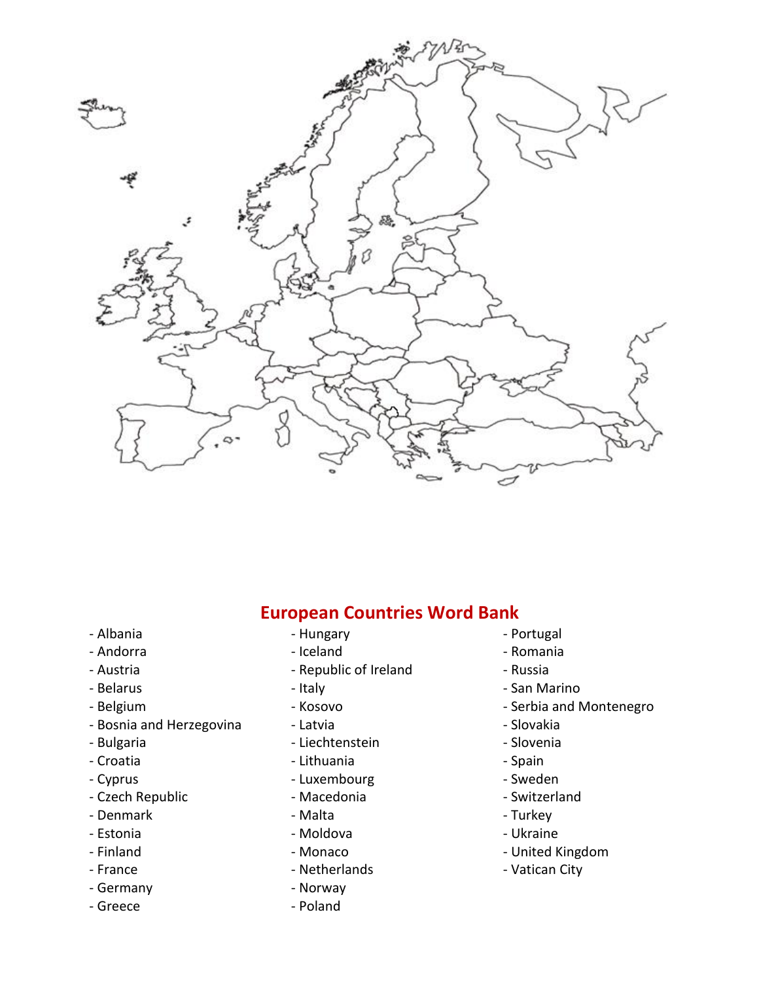

- [Albania](http://geography.about.com/library/maps/blalbania.htm)
- [Andorra](http://geography.about.com/library/maps/blandorra.htm)
- [Austria](http://geography.about.com/library/maps/blaustria.htm)
- [Belarus](http://geography.about.com/library/maps/blbelarus.htm)
- [Belgium](http://geography.about.com/library/maps/blbelgium.htm)
- [Bosnia and Herzegovina](http://geography.about.com/library/maps/blbosnia.htm)
- [Bulgaria](http://geography.about.com/library/maps/blbulgaria.htm)
- [Croatia](http://geography.about.com/library/maps/blcroatia.htm)
- [Cyprus](http://geography.about.com/library/maps/blcyprus.htm)
- [Czech Republic](http://geography.about.com/library/maps/blczech.htm)
- [Denmark](http://geography.about.com/library/maps/bldenmark.htm)
- [Estonia](http://geography.about.com/library/maps/blestonia.htm)
- [Finland](http://geography.about.com/library/maps/blfinland.htm)
- [France](http://geography.about.com/library/maps/blfrance.htm)
- [Germany](http://geography.about.com/library/maps/blgermany.htm)
- [Greece](http://geography.about.com/library/maps/blgreece.htm)
- [Hungary](http://geography.about.com/library/maps/blhungary.htm)
- [Iceland](http://geography.about.com/library/maps/bliceland.htm)
- Republic of [Ireland](http://geography.about.com/library/maps/blireland.htm)
- [Italy](http://geography.about.com/library/maps/blitaly.htm)
- Kosovo
- [Latvia](http://geography.about.com/library/maps/bllatvia.htm)
- [Liechtenstein](http://geography.about.com/library/maps/blliechtenstein.htm)
- [Lithuania](http://geography.about.com/library/maps/bllithuania.htm)
- [Luxembourg](http://geography.about.com/library/maps/blluxembourg.htm)
- [Macedonia](http://geography.about.com/library/maps/blmacedonia.htm)
- [Malta](http://geography.about.com/library/maps/blmalta.htm)
- [Moldova](http://geography.about.com/library/maps/blmoldovia.htm)
- [Monaco](http://geography.about.com/library/maps/blmonaco.htm)
- [Netherlands](http://geography.about.com/library/maps/blnetherlands.htm)
- [Norway](http://geography.about.com/library/maps/blnorway.htm)
- [Poland](http://geography.about.com/library/maps/blpoland.htm)
- **European Countries Word Bank** - [Portugal](http://geography.about.com/library/maps/blportugal.htm)
	- [Romania](http://geography.about.com/library/maps/blromania.htm)
	- [Russia](http://geography.about.com/library/maps/blrussia.htm)
	- [San Marino](http://geography.about.com/library/maps/blsanmarino.htm)
	- [Serbia and Montenegro](http://geography.about.com/library/maps/blserbia.htm)
	- [Slovakia](http://geography.about.com/library/maps/blslovakia.htm)
	- [Slovenia](http://geography.about.com/library/maps/blslovenia.htm)
	- [Spain](http://geography.about.com/library/maps/blspain.htm)
	- [Sweden](http://geography.about.com/library/maps/blsweden.htm)
	- [Switzerland](http://geography.about.com/library/maps/blswitzerland.htm)
	- [Turkey](http://geography.about.com/library/maps/blturkey.htm)
	- [Ukraine](http://geography.about.com/library/maps/blukraine.htm)
	- [United Kingdom](http://geography.about.com/library/maps/bluk.htm)
	- [Vatican City](http://geography.about.com/library/maps/blvatican.htm)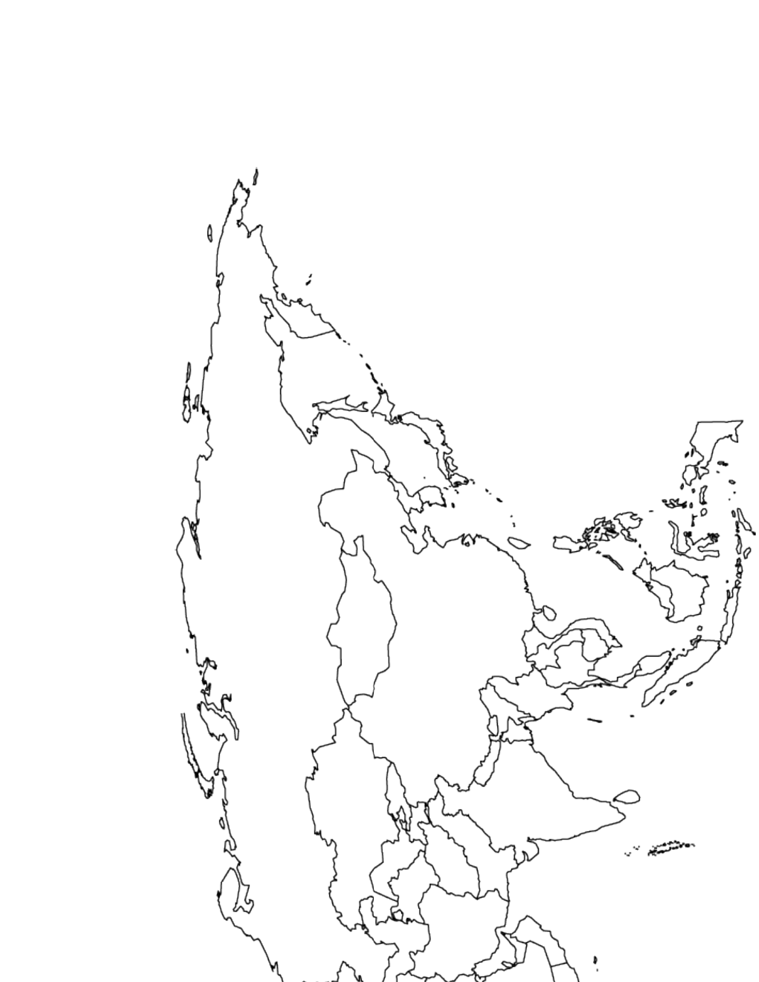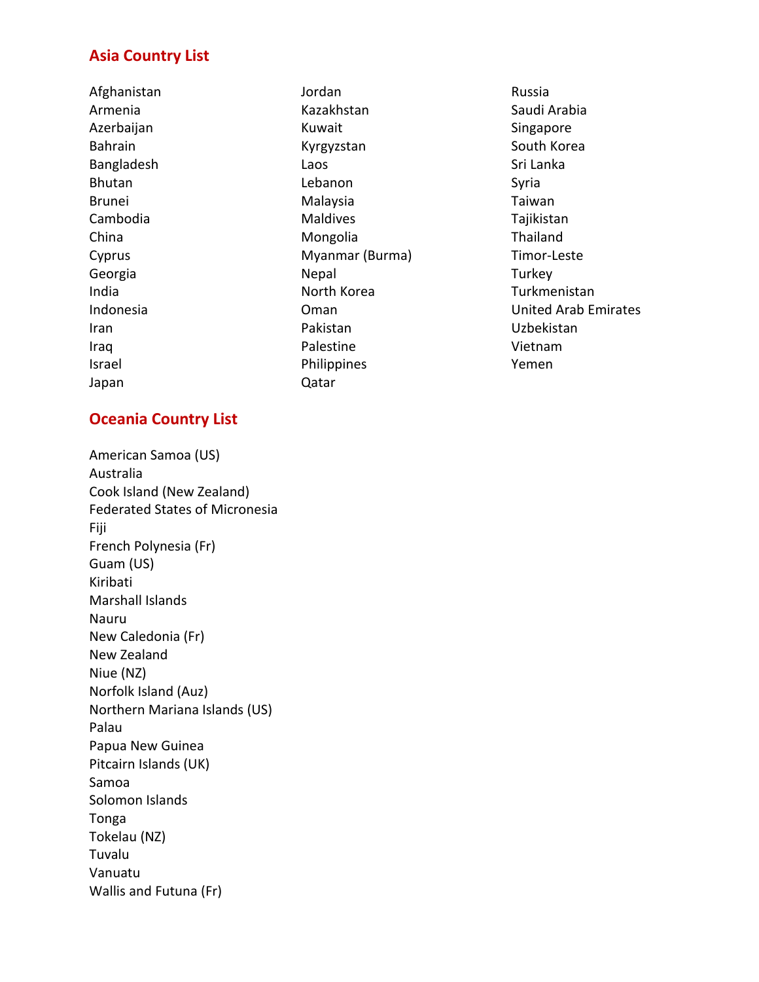## **Asia Country List**

Afghanistan Armenia Azerbaijan Bahrain Bangladesh Bhutan Brunei Cambodia China Cyprus Georgia India Indonesia Iran Iraq Israel Japan

Jordan Kazakhstan Kuwait Kyrgyzstan Laos Lebanon Malaysia Maldives Mongolia Myanmar (Burma) Nepal North Korea Oman Pakistan Palestine Philippines Qatar

Russia Saudi Arabia Singapore South Korea Sri Lanka Syria Taiwan Tajikistan Thailand Timor-Leste **Turkey** Turkmenistan United Arab Emirates Uzbekistan Vietnam Yemen

### **Oceania Country List**

American Samoa (US) Australia Cook Island (New Zealand) Federated States of Micronesia Fiji French Polynesia (Fr) Guam (US) Kiribati Marshall Islands Nauru New Caledonia (Fr) New Zealand Niue (NZ) Norfolk Island (Auz) Northern Mariana Islands (US) Palau Papua New Guinea Pitcairn Islands (UK) Samoa Solomon Islands Tonga Tokelau (NZ) Tuvalu Vanuatu Wallis and Futuna (Fr)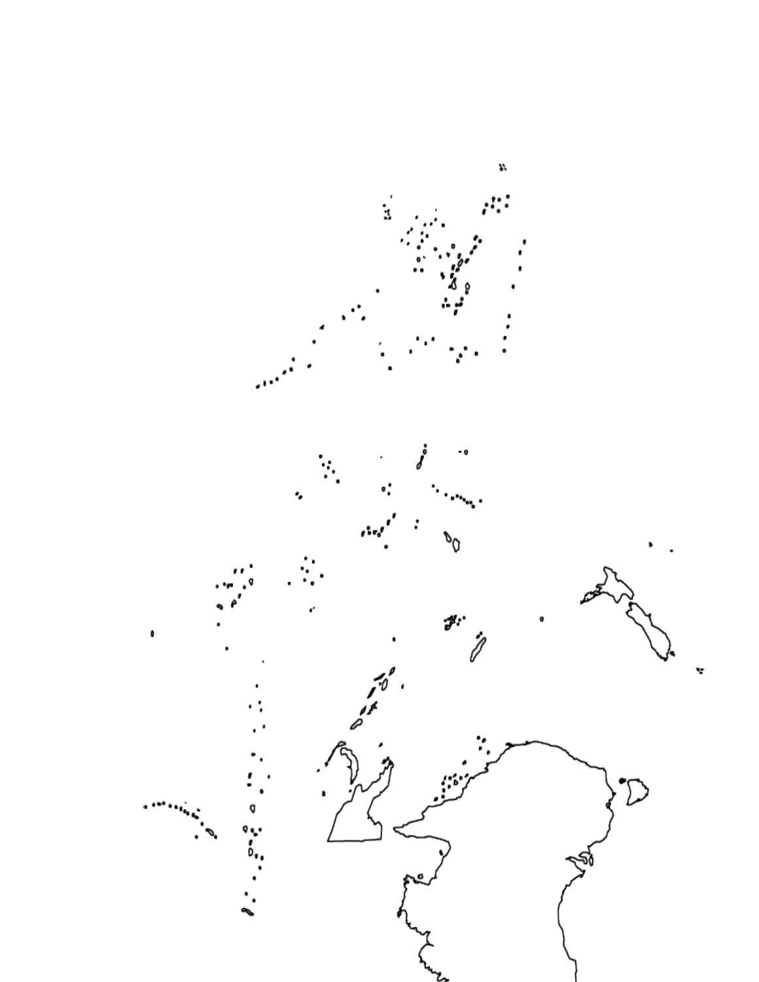